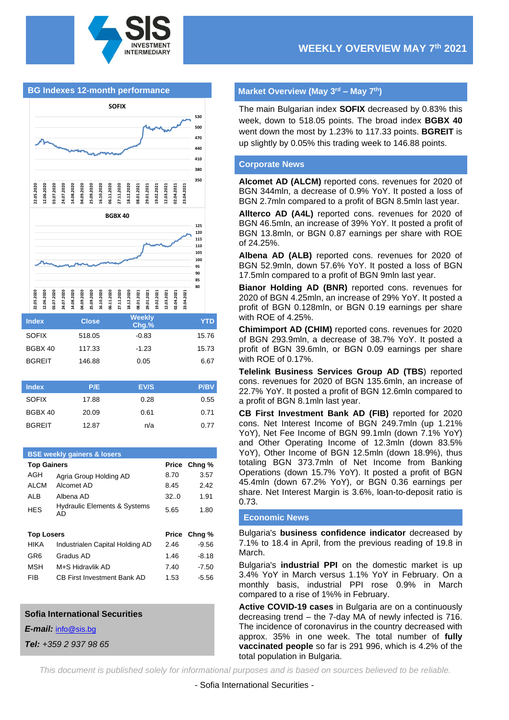





| <b>Index</b>  | <b>Close</b> | <b>Weekly</b><br>Chg.% | YTD.  |
|---------------|--------------|------------------------|-------|
| <b>SOFIX</b>  | 518.05       | $-0.83$                | 15.76 |
| BGBX 40       | 117.33       | $-1.23$                | 15.73 |
| <b>BGREIT</b> | 146.88       | 0.05                   | 6.67  |

| <b>Index</b>  | P/E   | EV/S | <b>P/BV</b> |
|---------------|-------|------|-------------|
| <b>SOFIX</b>  | 17.88 | 0.28 | 0.55        |
| BGBX 40       | 20.09 | 0.61 | 0.71        |
| <b>BGREIT</b> | 12.87 | n/a  | 0.77        |

# **BSE weekly gainers & losers Top Gainers Price Chng %** AGH Agria Group Holding AD 8.70 3.57 ALCM Alcomet AD 8.45 2.42 ALB Albena AD 32..0 1.91 HES Hydraulic Elements & Systems AD 5.65 1.80 **Top Losers Price Chng %** HIKA Industrialen Capital Holding AD 2.46 -9.56 GR6 Gradus AD 1.46 -8.18 MSH M+S Hidravlik AD 7.40 -7.50 FIB CB First Investment Bank AD 1.53 -5.56

#### **Sofia International Securities**

*E-mail:* [info@sis.bg](mailto:info@sis.bg)

*Tel: +359 2 937 98 65*

## **Market Overview (May 3 rd – May 7th)**

The main Bulgarian index **SOFIX** decreased by 0.83% this week, down to 518.05 points. The broad index **BGBX 40** went down the most by 1.23% to 117.33 points. **BGREIT** is up slightly by 0.05% this trading week to 146.88 points.

#### **Corporate News**

**Alcomet AD (ALCM)** reported cons. revenues for 2020 of BGN 344mln, a decrease of 0.9% YoY. It posted a loss of BGN 2.7mln compared to a profit of BGN 8.5mln last year.

**Allterco AD (A4L)** reported cons. revenues for 2020 of BGN 46.5mln, an increase of 39% YoY. It posted a profit of BGN 13.8mln, or BGN 0.87 earnings per share with ROE of 24.25%.

**Albena AD (ALB)** reported cons. revenues for 2020 of BGN 52.9mln, down 57.6% YoY. It posted a loss of BGN 17.5mln compared to a profit of BGN 9mln last year.

**Bianor Holding AD (BNR)** reported cons. revenues for 2020 of BGN 4.25mln, an increase of 29% YoY. It posted a profit of BGN 0.128mln, or BGN 0.19 earnings per share with ROE of 4.25%.

**Chimimport AD (CHIM)** reported cons. revenues for 2020 of BGN 293.9mln, a decrease of 38.7% YoY. It posted a profit of BGN 39.6mln, or BGN 0.09 earnings per share with ROE of 0.17%.

**Telelink Business Services Group AD (TBS**) reported cons. revenues for 2020 of BGN 135.6mln, an increase of 22.7% YoY. It posted a profit of BGN 12.6mln compared to a profit of BGN 8.1mln last year.

**CB First Investment Bank AD (FIB)** reported for 2020 cons. Net Interest Income of BGN 249.7mln (up 1.21% YoY), Net Fee Income of BGN 99.1mln (down 7.1% YoY) and Other Operating Income of 12.3mln (down 83.5% YoY), Other Income of BGN 12.5mln (down 18.9%), thus totaling BGN 373.7mln of Net Income from Banking Operations (down 15.7% YoY). It posted a profit of BGN 45.4mln (down 67.2% YoY), or BGN 0.36 earnings per share. Net Interest Margin is 3.6%, loan-to-deposit ratio is 0.73.

#### **Economic News**

Bulgaria's **business confidence indicator** decreased by 7.1% to 18.4 in April, from the previous reading of 19.8 in March.

Bulgaria's **industrial PPI** on the domestic market is up 3.4% YoY in March versus 1.1% YoY in February. On a monthly basis, industrial PPI rose 0.9% in March compared to a rise of 1%% in February.

**Active COVID-19 cases** in Bulgaria are on a continuously decreasing trend – the 7-day MA of newly infected is 716. The incidence of coronavirus in the country decreased with approx. 35% in one week. The total number of **fully vaccinated people** so far is 291 996, which is 4.2% of the total population in Bulgaria.

*This document is published solely for informational purposes and is based on sources believed to be reliable.*